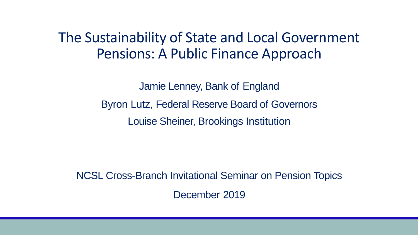The Sustainability of State and Local Government Pensions: A Public Finance Approach

> Jamie Lenney, Bank of England Byron Lutz, Federal Reserve Board of Governors Louise Sheiner, Brookings Institution

NCSL Cross-Branch Invitational Seminar on Pension Topics December 2019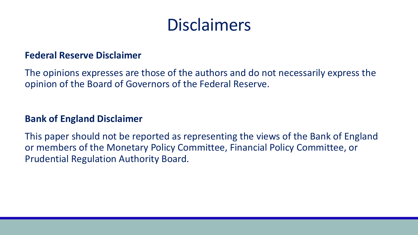# Disclaimers

### **Federal Reserve Disclaimer**

The opinions expresses are those of the authors and do not necessarily express the opinion of the Board of Governors of the Federal Reserve.

### **Bank of England Disclaimer**

This paper should not be reported as representing the views of the Bank of England or members of the Monetary Policy Committee, Financial Policy Committee, or Prudential Regulation Authority Board.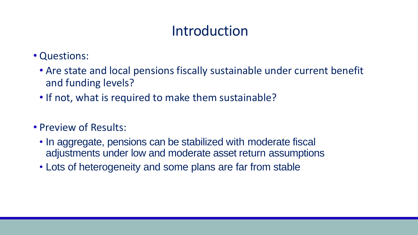## Introduction

- Questions:
	- Are state and local pensions fiscally sustainable under current benefit and funding levels?
	- If not, what is required to make them sustainable?
- Preview of Results:
	- In aggregate, pensions can be stabilized with moderate fiscal adjustments under low and moderate asset return assumptions
	- Lots of heterogeneity and some plans are far from stable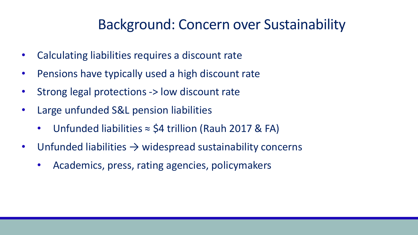## Background: Concern over Sustainability

- Calculating liabilities requires a discount rate
- Pensions have typically used a high discount rate
- Strong legal protections -> low discount rate
- Large unfunded S&L pension liabilities
	- Unfunded liabilities ≈ \$4 trillion (Rauh 2017 & FA)
- Unfunded liabilities  $\rightarrow$  widespread sustainability concerns
	- Academics, press, rating agencies, policymakers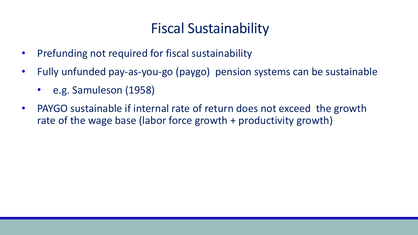## Fiscal Sustainability

- Prefunding not required for fiscal sustainability
- Fully unfunded pay-as-you-go (paygo) pension systems can be sustainable
	- e.g. Samuleson (1958)
- PAYGO sustainable if internal rate of return does not exceed the growth rate of the wage base (labor force growth + productivity growth)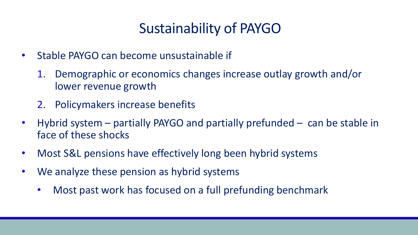## Sustainability of PAYGO

- Stable PAYGO can become unsustainable if
	- 1. Demographic or economics changes increase outlay growth and/or lower revenue growth
	- 2. Policymakers increase benefits
- Hybrid system partially PAYGO and partially prefunded can be stable in face of these shocks
- Most S&L pensions have effectively long been hybrid systems
- We analyze these pension as hybrid systems
	- Most past work has focused on a full prefunding benchmark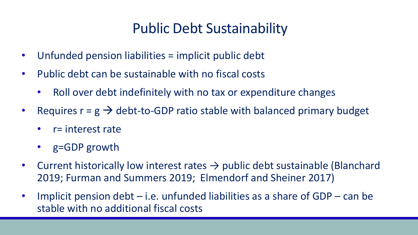## Public Debt Sustainability

- Unfunded pension liabilities = implicit public debt
- Public debt can be sustainable with no fiscal costs
	- Roll over debt indefinitely with no tax or expenditure changes
- Requires  $r = g \rightarrow$  debt-to-GDP ratio stable with balanced primary budget
	- r= interest rate
	- g=GDP growth
- Current historically low interest rates  $\rightarrow$  public debt sustainable (Blanchard 2019; Furman and Summers 2019; Elmendorf and Sheiner 2017)
- Implicit pension debt  $-$  i.e. unfunded liabilities as a share of GDP  $-$  can be stable with no additional fiscal costs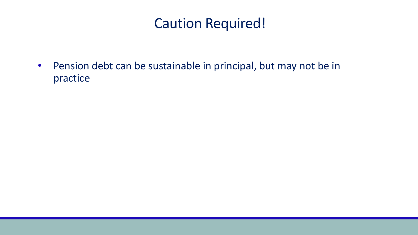### Caution Required!

• Pension debt can be sustainable in principal, but may not be in practice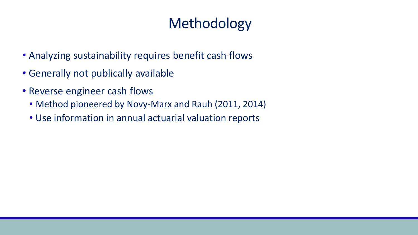# Methodology

- Analyzing sustainability requires benefit cash flows
- Generally not publically available
- Reverse engineer cash flows
	- Method pioneered by Novy-Marx and Rauh (2011, 2014)
	- Use information in annual actuarial valuation reports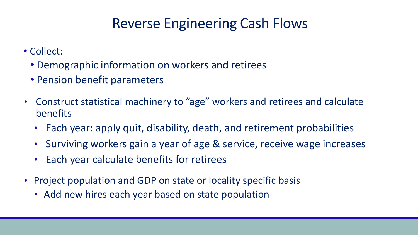## Reverse Engineering Cash Flows

- Collect:
	- Demographic information on workers and retirees
	- Pension benefit parameters
- Construct statistical machinery to "age" workers and retirees and calculate benefits
	- Each year: apply quit, disability, death, and retirement probabilities
	- Surviving workers gain a year of age & service, receive wage increases
	- Each year calculate benefits for retirees
- Project population and GDP on state or locality specific basis
	- Add new hires each year based on state population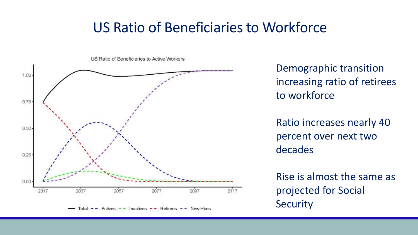### US Ratio of Beneficiaries to Workforce



Demographic transition increasing ratio of retirees to workforce

Ratio increases nearly 40 percent over next two decades

Rise is almost the same as projected for Social Security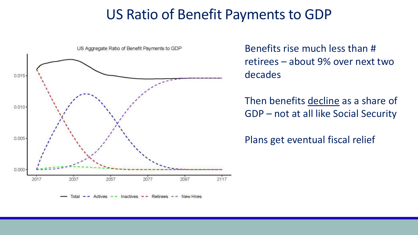### US Ratio of Benefit Payments to GDP



Benefits rise much less than # retirees – about 9% over next two decades

Then benefits decline as a share of GDP – not at all like Social Security

Plans get eventual fiscal relief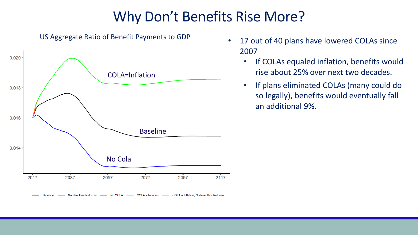## Why Don't Benefits Rise More?



US Aggregate Ratio of Benefit Payments to GDP

- 17 out of 40 plans have lowered COLAs since 2007
	- If COLAs equaled inflation, benefits would rise about 25% over next two decades.
	- If plans eliminated COLAs (many could do so legally), benefits would eventually fall an additional 9%.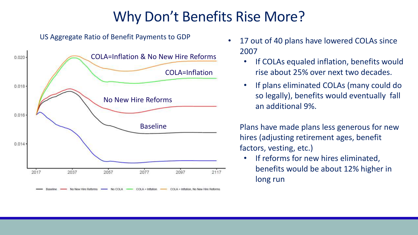## Why Don't Benefits Rise More?



US Aggregate Ratio of Benefit Payments to GDP

- 17 out of 40 plans have lowered COLAs since 2007
	- If COLAs equaled inflation, benefits would rise about 25% over next two decades.
	- If plans eliminated COLAs (many could do so legally), benefits would eventually fall an additional 9%.

• Plans have made plans less generous for new hires (adjusting retirement ages, benefit factors, vesting, etc.)

If reforms for new hires eliminated, benefits would be about 12% higher in long run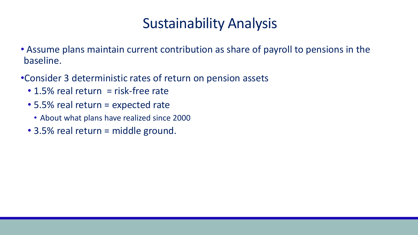## Sustainability Analysis

- Assume plans maintain current contribution as share of payroll to pensions in the baseline.
- •Consider 3 deterministic rates of return on pension assets
	- $\cdot$  1.5% real return = risk-free rate
	- 5.5% real return = expected rate
		- About what plans have realized since 2000
	- 3.5% real return = middle ground.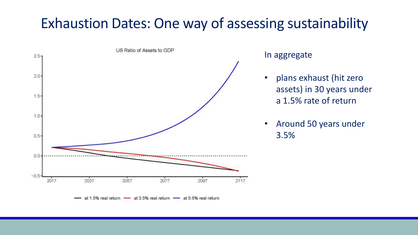## Exhaustion Dates: One way of assessing sustainability



#### In aggregate

- plans exhaust (hit zero assets) in 30 years under a 1.5% rate of return
- Around 50 years under 3.5%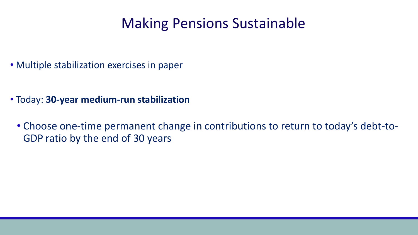### Making Pensions Sustainable

• Multiple stabilization exercises in paper

- Today: **30-year medium-run stabilization**
	- Choose one-time permanent change in contributions to return to today's debt-to-GDP ratio by the end of 30 years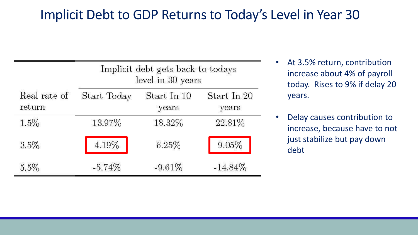### Implicit Debt to GDP Returns to Today's Level in Year 30

|                        | Implicit debt gets back to todays<br>level in 30 years |                      |                      |  |
|------------------------|--------------------------------------------------------|----------------------|----------------------|--|
| Real rate of<br>return | Start Today                                            | Start In 10<br>years | Start In 20<br>years |  |
| 1.5%                   | 13.97%                                                 | 18.32%               | 22.81\%              |  |
| $3.5\%$                | 4.19%                                                  | 6.25%                | 9.05%                |  |
| 5.5%                   | $-5.74%$                                               | $-9.61%$             | $-14.84\%$           |  |

- At 3.5% return, contribution increase about 4% of payroll today. Rises to 9% if delay 20 years.
- Delay causes contribution to increase, because have to not just stabilize but pay down debt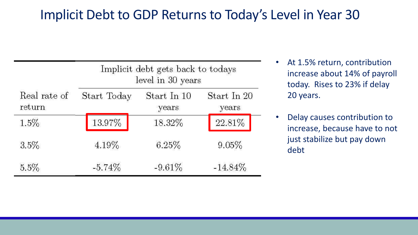### Implicit Debt to GDP Returns to Today's Level in Year 30

|              | Implicit debt gets back to todays<br>level in 30 years |             |             |  |
|--------------|--------------------------------------------------------|-------------|-------------|--|
| Real rate of | Start Today                                            | Start In 10 | Start In 20 |  |
| return       |                                                        | years       | years       |  |
| 1.5%         | 13.97%                                                 | 18.32%      | 22.81%      |  |
| $3.5\%$      | 4.19%                                                  | 6.25%       | 9.05%       |  |
| 5.5%         | $-5.74%$                                               | $-9.61%$    | $-14.84\%$  |  |

- At 1.5% return, contribution increase about 14% of payroll today. Rises to 23% if delay 20 years.
- Delay causes contribution to increase, because have to not just stabilize but pay down debt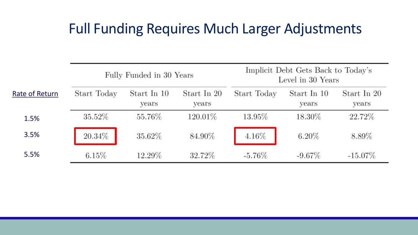## Full Funding Requires Much Larger Adjustments

|                | Fully Funded in 30 Years |                      |                      | Implicit Debt Gets Back to Today's<br>Level in 30 Years |                      |                      |
|----------------|--------------------------|----------------------|----------------------|---------------------------------------------------------|----------------------|----------------------|
| Rate of Return | Start Today              | Start In 10<br>years | Start In 20<br>years | Start Today                                             | Start In 10<br>years | Start In 20<br>years |
| 1.5%           | 35.52%                   | 55.76%               | 120.01%              | 13.95%                                                  | 18.30%               | 22.72%               |
| 3.5%           | 20.34%                   | 35.62%               | 84.90%               | 4.16%                                                   | $6.20\%$             | 8.89%                |
| 5.5%           | $6.15\%$                 | 12.29%               | 32.72%               | $-5.76\%$                                               | $-9.67\%$            | $-15.07\%$           |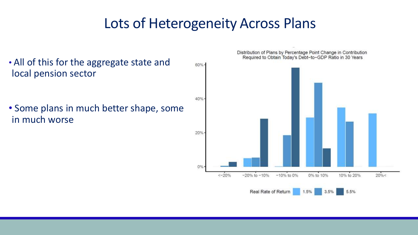### Lots of Heterogeneity Across Plans

• All of this for the aggregate state and local pension sector

• Some plans in much better shape, some in much worse

Distribution of Plans by Percentage Point Change in Contribution Required to Obtain Today's Debt-to-GDP Ratio in 30 Years

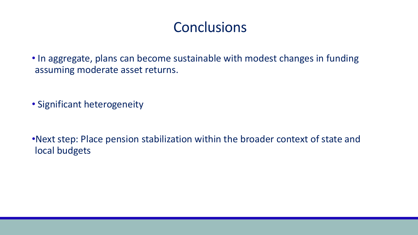### **Conclusions**

• In aggregate, plans can become sustainable with modest changes in funding assuming moderate asset returns.

• Significant heterogeneity

•Next step: Place pension stabilization within the broader context of state and local budgets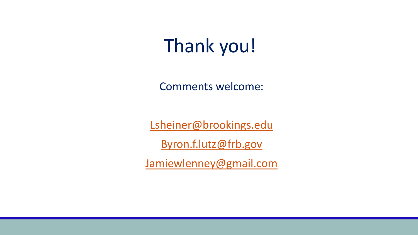Thank you!

Comments welcome:

[Lsheiner@brookings.edu](mailto:Lsheiner@brookings.edu)

[Byron.f.lutz@frb.gov](mailto:Byron.f.lutz@frb.goveqf) 

[Jamiewlenney@gmail.com](mailto:Byron.f.lutz@frb.goveqf)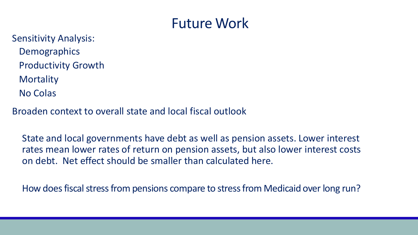### Future Work

Sensitivity Analysis: **Demographics** Productivity Growth **Mortality** No Colas

Broaden context to overall state and local fiscal outlook

State and local governments have debt as well as pension assets. Lower interest rates mean lower rates of return on pension assets, but also lower interest costs on debt. Net effect should be smaller than calculated here.

How does fiscal stress from pensions compare to stress from Medicaid over long run?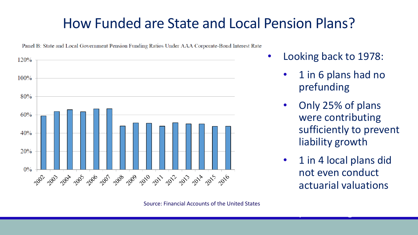## How Funded are State and Local Pension Plans?



Panel B: State and Local Government Pension Funding Ratios Under AAA Corporate-Bond Interest Rate

- Looking back to 1978:
	- 1 in 6 plans had no prefunding
	- Only 25% of plans were contributing sufficiently to prevent liability growth
	- 1 in 4 local plans did not even conduct actuarial valuations 6

prefunding the second state of the second state of the second state of the second state of the second state of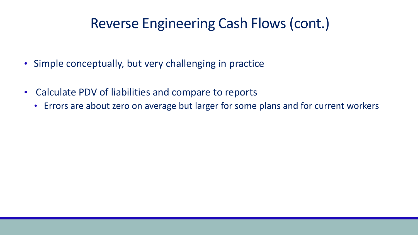### Reverse Engineering Cash Flows (cont.)

- Simple conceptually, but very challenging in practice
- Calculate PDV of liabilities and compare to reports
	- Errors are about zero on average but larger for some plans and for current workers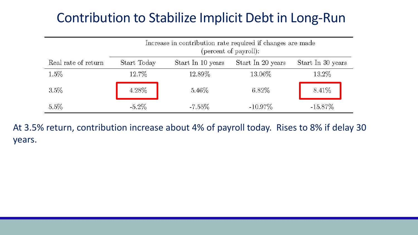### Contribution to Stabilize Implicit Debt in Long-Run

|                     | Increase in contribution rate required if changes are made<br>(percent of payroll): |                   |                   |                   |
|---------------------|-------------------------------------------------------------------------------------|-------------------|-------------------|-------------------|
| Real rate of return | Start Today                                                                         | Start In 10 years | Start In 20 years | Start In 30 years |
| 1.5%                | 12.7%                                                                               | 12.89%            | 13.06%            | 13.2%             |
| 3.5%                | 4.28%                                                                               | $5.46\%$          | $6.82\%$          | 8.41\%            |
| 5.5%                | $-5.2\%$                                                                            | $-7.55%$          | $-10.97\%$        | $-15.87\%$        |

At 3.5% return, contribution increase about 4% of payroll today. Rises to 8% if delay 30 years.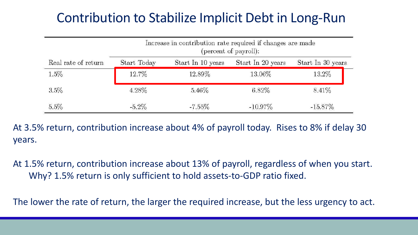### Contribution to Stabilize Implicit Debt in Long-Run

|                     | Increase in contribution rate required if changes are made<br>(percent of payroll): |                   |                   |                   |
|---------------------|-------------------------------------------------------------------------------------|-------------------|-------------------|-------------------|
| Real rate of return | Start Today                                                                         | Start In 10 years | Start In 20 years | Start In 30 years |
| 1.5%                | 12.7%                                                                               | 12.89%            | 13.06%            | 13.2%             |
| 3.5%                | 4.28%                                                                               | $5.46\%$          | $6.82\%$          | $8.41\%$          |
| 5.5%                | $-5.2\%$                                                                            | $-7.55%$          | $-10.97\%$        | $-15.87\%$        |

At 3.5% return, contribution increase about 4% of payroll today. Rises to 8% if delay 30 years.

At 1.5% return, contribution increase about 13% of payroll, regardless of when you start. Why? 1.5% return is only sufficient to hold assets-to-GDP ratio fixed.

The lower the rate of return, the larger the required increase, but the less urgency to act.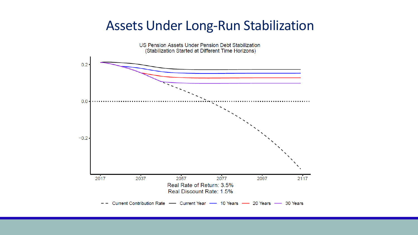### Assets Under Long-Run Stabilization

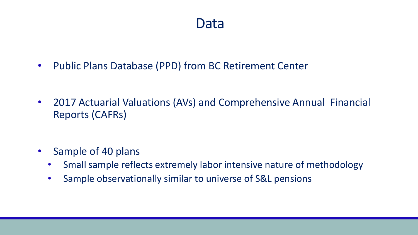### Data

• Public Plans Database (PPD) from BC Retirement Center

• 2017 Actuarial Valuations (AVs) and Comprehensive Annual Financial Reports (CAFRs)

- Sample of 40 plans
	- Small sample reflects extremely labor intensive nature of methodology
	- Sample observationally similar to universe of S&L pensions